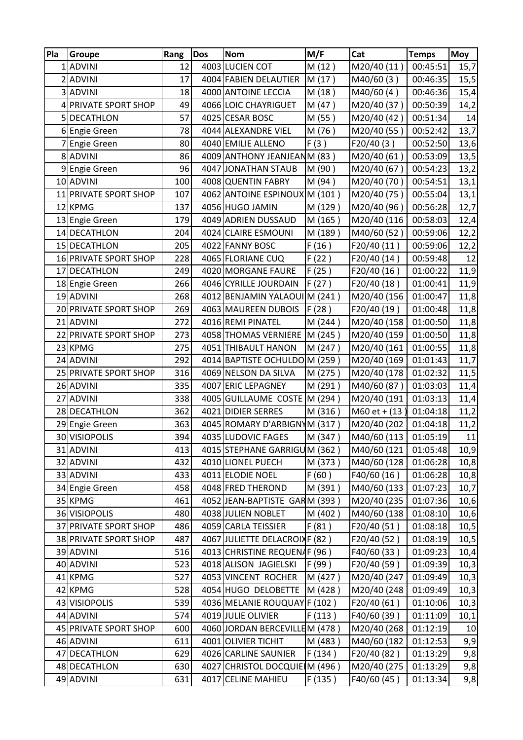| Pla | Groupe                | Rang | Dos | <b>Nom</b>                     | M/F      | Cat             | <b>Temps</b> | <b>Moy</b> |
|-----|-----------------------|------|-----|--------------------------------|----------|-----------------|--------------|------------|
|     | 1 ADVINI              | 12   |     | 4003 LUCIEN COT                | M(12)    | M20/40 (11)     | 00:45:51     | 15,7       |
|     | 2 ADVINI              | 17   |     | 4004 FABIEN DELAUTIER          | M (17)   | M40/60(3)       | 00:46:35     | 15,5       |
|     | 3 ADVINI              | 18   |     | 4000 ANTOINE LECCIA            | M (18)   | M40/60(4)       | 00:46:36     | 15,4       |
|     | 4 PRIVATE SPORT SHOP  | 49   |     | 4066 LOIC CHAYRIGUET           | M (47)   | M20/40 (37)     | 00:50:39     | 14,2       |
|     | 5 DECATHLON           | 57   |     | 4025 CESAR BOSC                | M (55)   | M20/40 (42)     | 00:51:34     | 14         |
|     | 6 Engie Green         | 78   |     | 4044 ALEXANDRE VIEL            | M (76)   | M20/40 (55)     | 00:52:42     | 13,7       |
|     | 7 Engie Green         | 80   |     | 4040 EMILIE ALLENO             | F(3)     | F20/40(3)       | 00:52:50     | 13,6       |
|     | 8 ADVINI              | 86   |     | 4009 ANTHONY JEANJEANM (83)    |          | M20/40 (61)     | 00:53:09     | 13,5       |
|     | 9 Engie Green         | 96   |     | 4047 JONATHAN STAUB            | M (90)   | M20/40 (67)     | 00:54:23     | 13,2       |
|     | 10 ADVINI             | 100  |     | 4008 QUENTIN FABRY             | M (94)   | M20/40 (70)     | 00:54:51     | 13,1       |
|     | 11 PRIVATE SPORT SHOP | 107  |     | 4062 ANTOINE ESPINOUX M (101)  |          | M20/40 (75)     | 00:55:04     | 13,1       |
|     | 12 KPMG               | 137  |     | 4056 HUGO JAMIN                | M (129)  | M20/40 (96)     | 00:56:28     | 12,7       |
|     | 13 Engie Green        | 179  |     | 4049 ADRIEN DUSSAUD            | M (165)  | M20/40 (116)    | 00:58:03     | 12,4       |
|     | 14 DECATHLON          | 204  |     | 4024 CLAIRE ESMOUNI            | M (189)  | M40/60 (52)     | 00:59:06     | 12,2       |
|     | 15 DECATHLON          | 205  |     | 4022 FANNY BOSC                | F(16)    | F20/40 (11)     | 00:59:06     | 12,2       |
|     | 16 PRIVATE SPORT SHOP | 228  |     | 4065 FLORIANE CUQ              | F(22)    | F20/40 (14)     | 00:59:48     | 12         |
|     | 17 DECATHLON          | 249  |     | 4020 MORGANE FAURE             | F(25)    | F20/40 (16)     | 01:00:22     | 11,9       |
|     | 18 Engie Green        | 266  |     | 4046 CYRILLE JOURDAIN          | F(27)    | F20/40 (18)     | 01:00:41     | 11,9       |
|     | 19 ADVINI             | 268  |     | 4012 BENJAMIN YALAOU           | IM (241) | M20/40 (156)    | 01:00:47     | 11,8       |
|     | 20 PRIVATE SPORT SHOP | 269  |     | 4063 MAUREEN DUBOIS            | F(28)    | F20/40 (19)     | 01:00:48     | 11,8       |
|     | 21 ADVINI             | 272  |     | 4016 REMI PINATEL              | M(244)   | M20/40 (158)    | 01:00:50     | 11,8       |
|     | 22 PRIVATE SPORT SHOP | 273  |     | 4058 THOMAS VERNIERE M (245)   |          | M20/40 (159     | 01:00:50     | 11,8       |
|     | 23 KPMG               | 275  |     | 4051 THIBAULT HANON            | M (247)  | M20/40 (161     | 01:00:55     | 11,8       |
|     | 24 ADVINI             | 292  |     | 4014 BAPTISTE OCHULDOM (259)   |          | M20/40 (169)    | 01:01:43     | 11,7       |
|     | 25 PRIVATE SPORT SHOP | 316  |     | 4069 NELSON DA SILVA           | M (275)  | M20/40 (178)    | 01:02:32     | 11,5       |
|     | 26 ADVINI             | 335  |     | 4007 ERIC LEPAGNEY             | M (291)  | M40/60 (87)     | 01:03:03     | 11,4       |
|     | 27 ADVINI             | 338  |     | 4005 GUILLAUME COSTE M (294)   |          | M20/40 (191)    | 01:03:13     | 11,4       |
|     | 28 DECATHLON          | 362  |     | 4021 DIDIER SERRES             | M (316)  | $M60$ et + (13) | 01:04:18     | 11,2       |
|     | 29 Engie Green        | 363  |     | 4045 ROMARY D'ARBIGNYM (317)   |          | M20/40 (202     | 01:04:18     | 11,2       |
|     | 30 VISIOPOLIS         | 394  |     | 4035 LUDOVIC FAGES             | M (347)  | M40/60 (113)    | 01:05:19     | 11         |
|     | 31 ADVINI             | 413  |     | 4015 STEPHANE GARRIGUM (362)   |          | M40/60 (121     | 01:05:48     | 10,9       |
|     | 32 ADVINI             | 432  |     | 4010 LIONEL PUECH              | M (373)  | M40/60 (128     | 01:06:28     | 10,8       |
|     | 33 ADVINI             | 433  |     | 4011 ELODIE NOEL               | F(60)    | F40/60(16)      | 01:06:28     | 10,8       |
|     | 34 Engie Green        | 458  |     | 4048 FRED THEROND              | M (391)  | M40/60 (133)    | 01:07:23     | 10,7       |
|     | 35 KPMG               | 461  |     | 4052 JEAN-BAPTISTE GARM (393)  |          | M20/40 (235)    | 01:07:36     | 10,6       |
|     | 36 VISIOPOLIS         | 480  |     | 4038 JULIEN NOBLET             | M (402)  | M40/60 (138)    | 01:08:10     | 10,6       |
|     | 37 PRIVATE SPORT SHOP | 486  |     | 4059 CARLA TEISSIER            | F(81)    | F20/40(51)      | 01:08:18     | 10,5       |
|     | 38 PRIVATE SPORT SHOP | 487  |     | 4067 JULIETTE DELACROIX F (82) |          | F20/40 (52)     | 01:08:19     | 10,5       |
|     | 39 ADVINI             | 516  |     | 4013 CHRISTINE REQUENAF (96)   |          | F40/60 (33)     | 01:09:23     | 10,4       |
|     | 40 ADVINI             | 523  |     | 4018 ALISON JAGIELSKI          | F (99)   | F20/40 (59)     | 01:09:39     | 10,3       |
|     | 41 KPMG               | 527  |     | 4053 VINCENT ROCHER            | M (427)  | M20/40 (247     | 01:09:49     | 10,3       |
|     | 42 KPMG               | 528  |     | 4054 HUGO DELOBETTE            | M (428)  | M20/40 (248     | 01:09:49     | 10,3       |
|     | 43 VISIOPOLIS         | 539  |     | 4036 MELANIE ROUQUAY F (102)   |          | F20/40(61)      | 01:10:06     | 10,3       |
|     | 44 ADVINI             | 574  |     | 4019 JULIE OLIVIER             | F(113)   | F40/60 (39)     | 01:11:09     | 10,1       |
|     | 45 PRIVATE SPORT SHOP | 600  |     | 4060 JORDAN BERCEVILLEM (478)  |          | M20/40 (268)    | 01:12:19     | 10         |
|     | 46 ADVINI             | 611  |     | 4001 OLIVIER TICHIT            | M (483)  | M40/60 (182     | 01:12:53     | 9,9        |
|     | 47 DECATHLON          | 629  |     | 4026 CARLINE SAUNIER           | F(134)   | F20/40 (82)     | 01:13:29     | 9,8        |
|     | 48 DECATHLON          | 630  |     | 4027 CHRISTOL DOCQUIE M (496)  |          | M20/40 (275     | 01:13:29     | 9,8        |
|     | 49 ADVINI             | 631  |     | 4017 CELINE MAHIEU             | F(135)   | F40/60 (45)     | 01:13:34     | 9,8        |